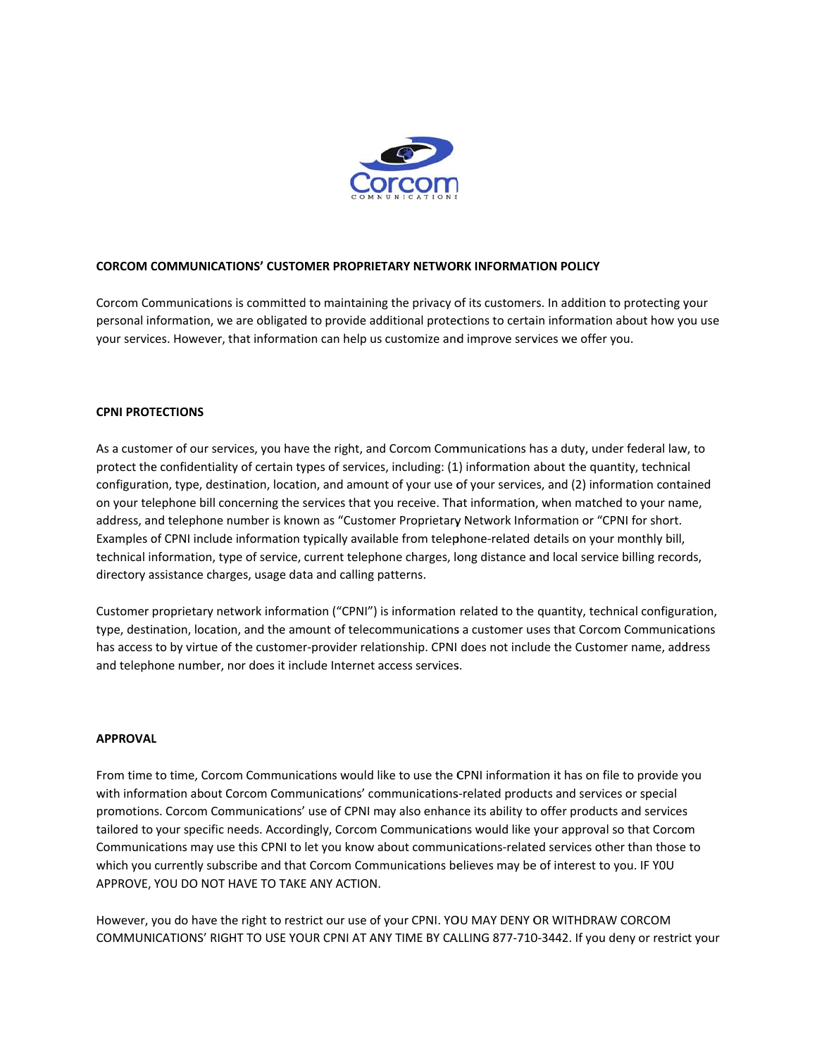

## **CORCOM COMMUNICATIONS' CUSTOMER PROPRIETARY NETWORK INFORMATION POLICY**

Corcom Communications is committed to maintaining the privacy of its customers. In addition to protecting your personal information, we are obligated to provide additional protections to certain information about how you use your services. However, that information can help us customize and improve services we offer you.

#### **CPNI PROTECTIONS**

As a customer of our services, you have the right, and Corcom Communications has a duty, under federal law, to protect the confidentiality of certain types of services, including: (1) information about the quantity, technical configuration, type, destination, location, and amount of your use of your services, and (2) information contained on your telephone bill concerning the services that you receive. That information, when matched to your name, address, and telephone number is known as "Customer Proprietary Network Information or "CPNI for short. Examples of CPNI include information typically available from telephone-related details on your monthly bill, technical information, type of service, current telephone charges, long distance and local service billing records, directory assistance charges, usage data and calling patterns.

Customer proprietary network information ("CPNI") is information related to the quantity, technical configuration, type, destination, location, and the amount of telecommunications a customer uses that Corcom Communications has access to by virtue of the customer-provider relationship. CPNI does not include the Customer name, address and telephone number, nor does it include Internet access services.

#### **APPROVAL**

From time to time, Corcom Communications would like to use the CPNI information it has on file to provide you with information about Corcom Communications' communications-related products and services or special promotions. Corcom Communications' use of CPNI may also enhance its ability to offer products and services tailored to your specific needs. Accordingly, Corcom Communications would like your approval so that Corcom Communications may use this CPNI to let you know about communications-related services other than those to which you currently subscribe and that Corcom Communications believes may be of interest to you. IF YOU APPROVE, YOU DO NOT HAVE TO TAKE ANY ACTION.

However, you do have the right to restrict our use of your CPNI. YOU MAY DENY OR WITHDRAW CORCOM COMMUNICATIONS' RIGHT TO USE YOUR CPNI AT ANY TIME BY CALLING 877-710-3442. If you deny or restrict your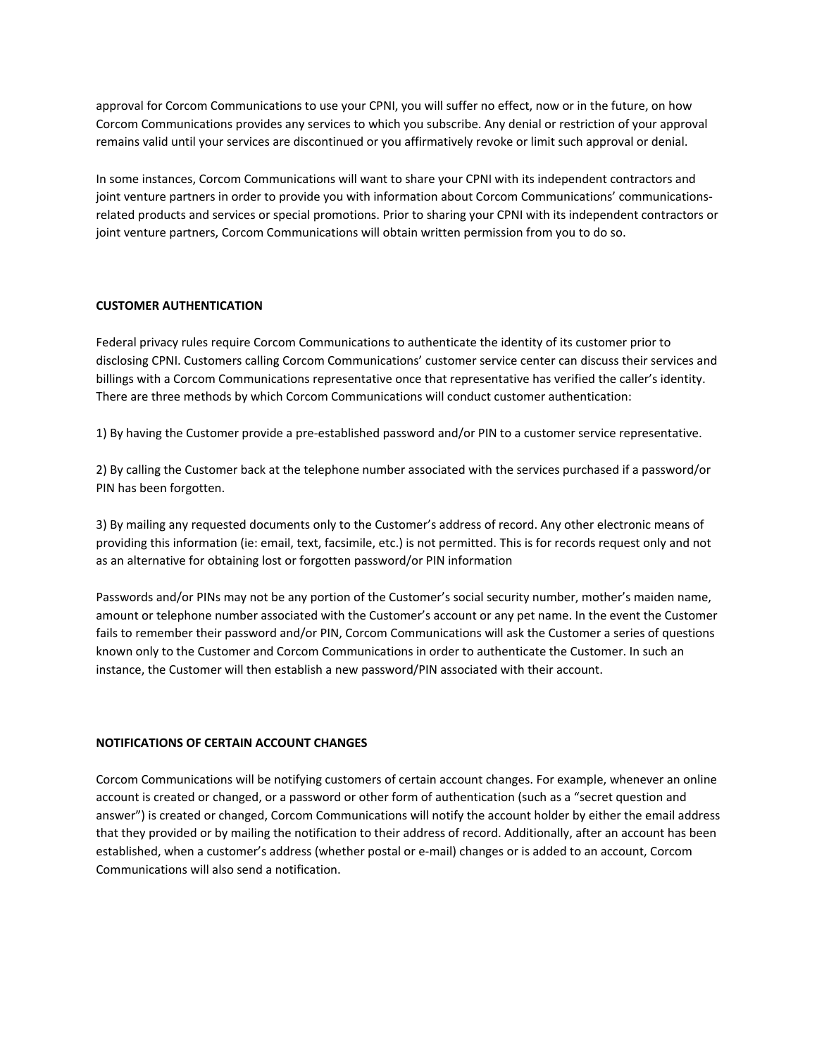approval for Corcom Communications to use your CPNI, you will suffer no effect, now or in the future, on how Corcom Communications provides any services to which you subscribe. Any denial or restriction of your approval remains valid until your services are discontinued or you affirmatively revoke or limit such approval or denial.

In some instances, Corcom Communications will want to share your CPNI with its independent contractors and joint venture partners in order to provide you with information about Corcom Communications' communicationsrelated products and services or special promotions. Prior to sharing your CPNI with its independent contractors or joint venture partners, Corcom Communications will obtain written permission from you to do so.

## **CUSTOMER AUTHENTICATION**

Federal privacy rules require Corcom Communications to authenticate the identity of its customer prior to disclosing CPNI. Customers calling Corcom Communications' customer service center can discuss their services and billings with a Corcom Communications representative once that representative has verified the caller's identity. There are three methods by which Corcom Communications will conduct customer authentication:

1) By having the Customer provide a pre‐established password and/or PIN to a customer service representative.

2) By calling the Customer back at the telephone number associated with the services purchased if a password/or PIN has been forgotten.

3) By mailing any requested documents only to the Customer's address of record. Any other electronic means of providing this information (ie: email, text, facsimile, etc.) is not permitted. This is for records request only and not as an alternative for obtaining lost or forgotten password/or PIN information

Passwords and/or PINs may not be any portion of the Customer's social security number, mother's maiden name, amount or telephone number associated with the Customer's account or any pet name. In the event the Customer fails to remember their password and/or PIN, Corcom Communications will ask the Customer a series of questions known only to the Customer and Corcom Communications in order to authenticate the Customer. In such an instance, the Customer will then establish a new password/PIN associated with their account.

#### **NOTIFICATIONS OF CERTAIN ACCOUNT CHANGES**

Corcom Communications will be notifying customers of certain account changes. For example, whenever an online account is created or changed, or a password or other form of authentication (such as a "secret question and answer") is created or changed, Corcom Communications will notify the account holder by either the email address that they provided or by mailing the notification to their address of record. Additionally, after an account has been established, when a customer's address (whether postal or e‐mail) changes or is added to an account, Corcom Communications will also send a notification.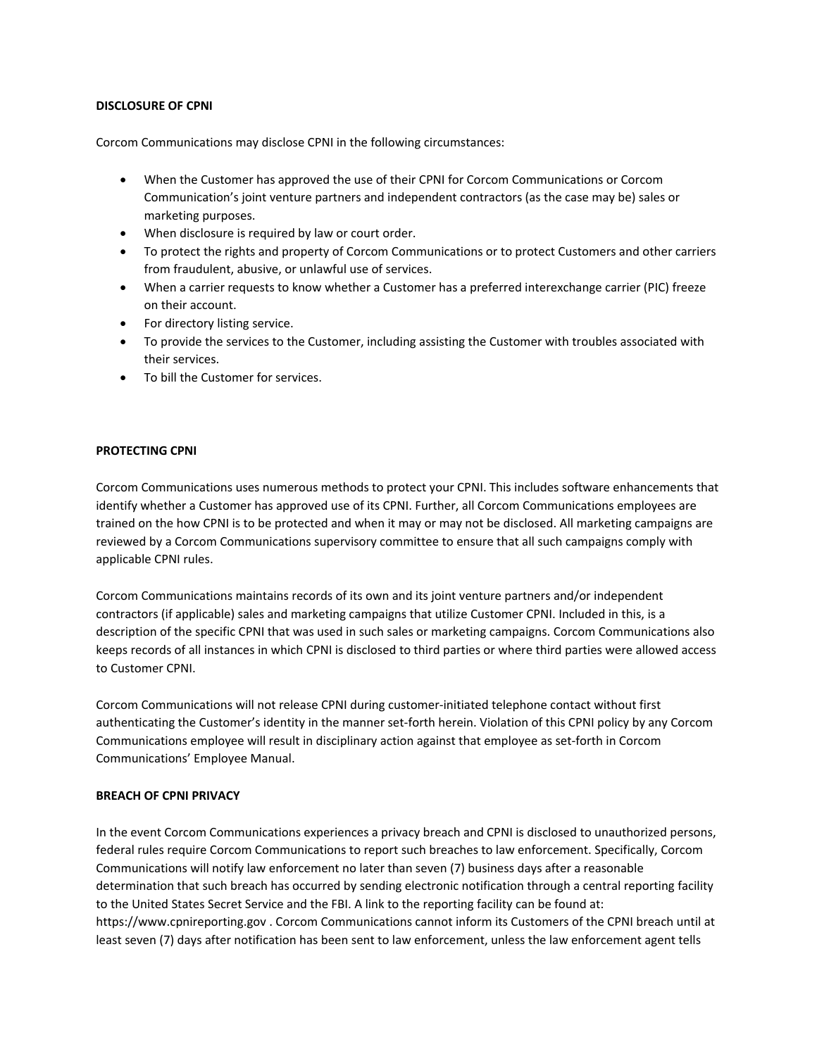## **DISCLOSURE OF CPNI**

Corcom Communications may disclose CPNI in the following circumstances:

- When the Customer has approved the use of their CPNI for Corcom Communications or Corcom Communication's joint venture partners and independent contractors (as the case may be) sales or marketing purposes.
- When disclosure is required by law or court order.
- To protect the rights and property of Corcom Communications or to protect Customers and other carriers from fraudulent, abusive, or unlawful use of services.
- When a carrier requests to know whether a Customer has a preferred interexchange carrier (PIC) freeze on their account.
- For directory listing service.
- To provide the services to the Customer, including assisting the Customer with troubles associated with their services.
- To bill the Customer for services.

# **PROTECTING CPNI**

Corcom Communications uses numerous methods to protect your CPNI. This includes software enhancements that identify whether a Customer has approved use of its CPNI. Further, all Corcom Communications employees are trained on the how CPNI is to be protected and when it may or may not be disclosed. All marketing campaigns are reviewed by a Corcom Communications supervisory committee to ensure that all such campaigns comply with applicable CPNI rules.

Corcom Communications maintains records of its own and its joint venture partners and/or independent contractors (if applicable) sales and marketing campaigns that utilize Customer CPNI. Included in this, is a description of the specific CPNI that was used in such sales or marketing campaigns. Corcom Communications also keeps records of all instances in which CPNI is disclosed to third parties or where third parties were allowed access to Customer CPNI.

Corcom Communications will not release CPNI during customer‐initiated telephone contact without first authenticating the Customer's identity in the manner set‐forth herein. Violation of this CPNI policy by any Corcom Communications employee will result in disciplinary action against that employee as set‐forth in Corcom Communications' Employee Manual.

#### **BREACH OF CPNI PRIVACY**

In the event Corcom Communications experiences a privacy breach and CPNI is disclosed to unauthorized persons, federal rules require Corcom Communications to report such breaches to law enforcement. Specifically, Corcom Communications will notify law enforcement no later than seven (7) business days after a reasonable determination that such breach has occurred by sending electronic notification through a central reporting facility to the United States Secret Service and the FBI. A link to the reporting facility can be found at: https://www.cpnireporting.gov . Corcom Communications cannot inform its Customers of the CPNI breach until at least seven (7) days after notification has been sent to law enforcement, unless the law enforcement agent tells